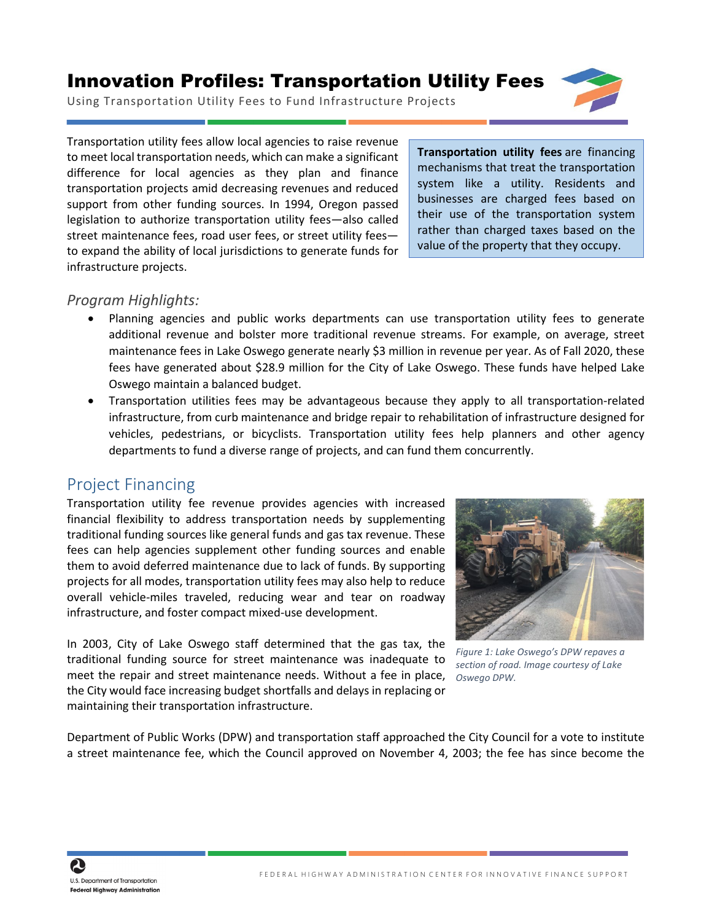## Innovation Profiles: Transportation Utility Fees



Using Transportation Utility Fees to Fund Infrastructure Projects

Transportation utility fees allow local agencies to raise revenue to meet local transportation needs, which can make a significant difference for local agencies as they plan and finance transportation projects amid decreasing revenues and reduced support from other funding sources. In 1994, Oregon passed legislation to authorize transportation utility fees—also called street maintenance fees, road user fees, or street utility fees to expand the ability of local jurisdictions to generate funds for infrastructure projects.

**Transportation utility fees** are financing mechanisms that treat the transportation system like a utility. Residents and businesses are charged fees based on their use of the transportation system rather than charged taxes based on the value of the property that they occupy.

## *Program Highlights:*

- Planning agencies and public works departments can use transportation utility fees to generate additional revenue and bolster more traditional revenue streams. For example, on average, street maintenance fees in Lake Oswego generate nearly \$3 million in revenue per year. As of Fall 2020, these fees have generated about \$28.9 million for the City of Lake Oswego. These funds have helped Lake Oswego maintain a balanced budget.
- Transportation utilities fees may be advantageous because they apply to all transportation-related infrastructure, from curb maintenance and bridge repair to rehabilitation of infrastructure designed for vehicles, pedestrians, or bicyclists. Transportation utility fees help planners and other agency departments to fund a diverse range of projects, and can fund them concurrently.

## Project Financing

Transportation utility fee revenue provides agencies with increased financial flexibility to address transportation needs by supplementing traditional funding sources like general funds and gas tax revenue. These fees can help agencies supplement other funding sources and enable them to avoid deferred maintenance due to lack of funds. By supporting projects for all modes, transportation utility fees may also help to reduce overall vehicle-miles traveled, reducing wear and tear on roadway infrastructure, and foster compact mixed-use development.

In 2003, City of Lake Oswego staff determined that the gas tax, the traditional funding source for street maintenance was inadequate to meet the repair and street maintenance needs. Without a fee in place, the City would face increasing budget shortfalls and delays in replacing or maintaining their transportation infrastructure.



*Figure 1: Lake Oswego's DPW repaves a section of road. Image courtesy of Lake Oswego DPW.*

Department of Public Works (DPW) and transportation staff approached the City Council for a vote to institute a street maintenance fee, which the Council approved on November 4, 2003; the fee has since become the